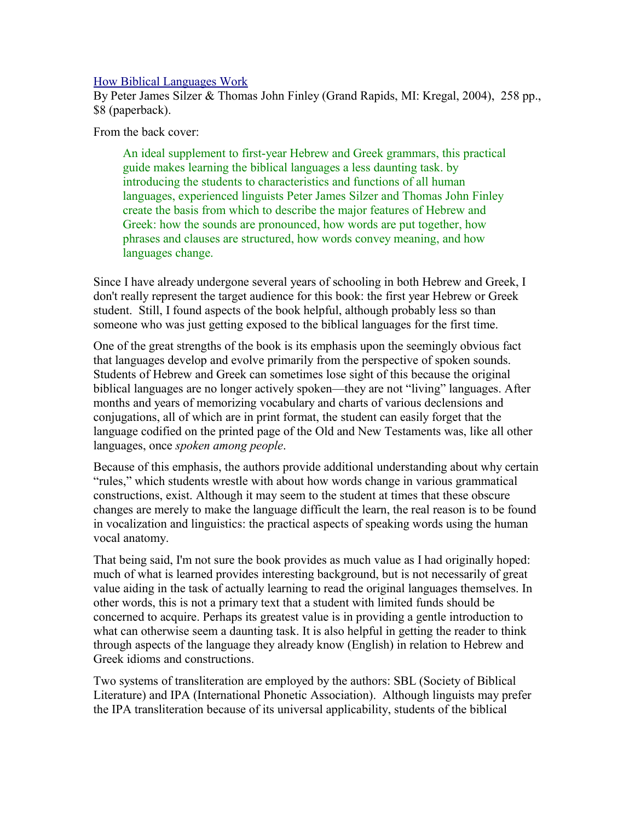## [How Biblical Languages Work](http://www.bestbookdeal.com/book/compare/0825426448)

By Peter James Silzer & Thomas John Finley (Grand Rapids, MI: Kregal, 2004), 258 pp., \$8 (paperback).

From the back cover:

An ideal supplement to first-year Hebrew and Greek grammars, this practical guide makes learning the biblical languages a less daunting task. by introducing the students to characteristics and functions of all human languages, experienced linguists Peter James Silzer and Thomas John Finley create the basis from which to describe the major features of Hebrew and Greek: how the sounds are pronounced, how words are put together, how phrases and clauses are structured, how words convey meaning, and how languages change.

Since I have already undergone several years of schooling in both Hebrew and Greek, I don't really represent the target audience for this book: the first year Hebrew or Greek student. Still, I found aspects of the book helpful, although probably less so than someone who was just getting exposed to the biblical languages for the first time.

One of the great strengths of the book is its emphasis upon the seemingly obvious fact that languages develop and evolve primarily from the perspective of spoken sounds. Students of Hebrew and Greek can sometimes lose sight of this because the original biblical languages are no longer actively spoken—they are not "living" languages. After months and years of memorizing vocabulary and charts of various declensions and conjugations, all of which are in print format, the student can easily forget that the language codified on the printed page of the Old and New Testaments was, like all other languages, once *spoken among people*.

Because of this emphasis, the authors provide additional understanding about why certain "rules," which students wrestle with about how words change in various grammatical constructions, exist. Although it may seem to the student at times that these obscure changes are merely to make the language difficult the learn, the real reason is to be found in vocalization and linguistics: the practical aspects of speaking words using the human vocal anatomy.

That being said, I'm not sure the book provides as much value as I had originally hoped: much of what is learned provides interesting background, but is not necessarily of great value aiding in the task of actually learning to read the original languages themselves. In other words, this is not a primary text that a student with limited funds should be concerned to acquire. Perhaps its greatest value is in providing a gentle introduction to what can otherwise seem a daunting task. It is also helpful in getting the reader to think through aspects of the language they already know (English) in relation to Hebrew and Greek idioms and constructions.

Two systems of transliteration are employed by the authors: SBL (Society of Biblical Literature) and IPA (International Phonetic Association). Although linguists may prefer the IPA transliteration because of its universal applicability, students of the biblical